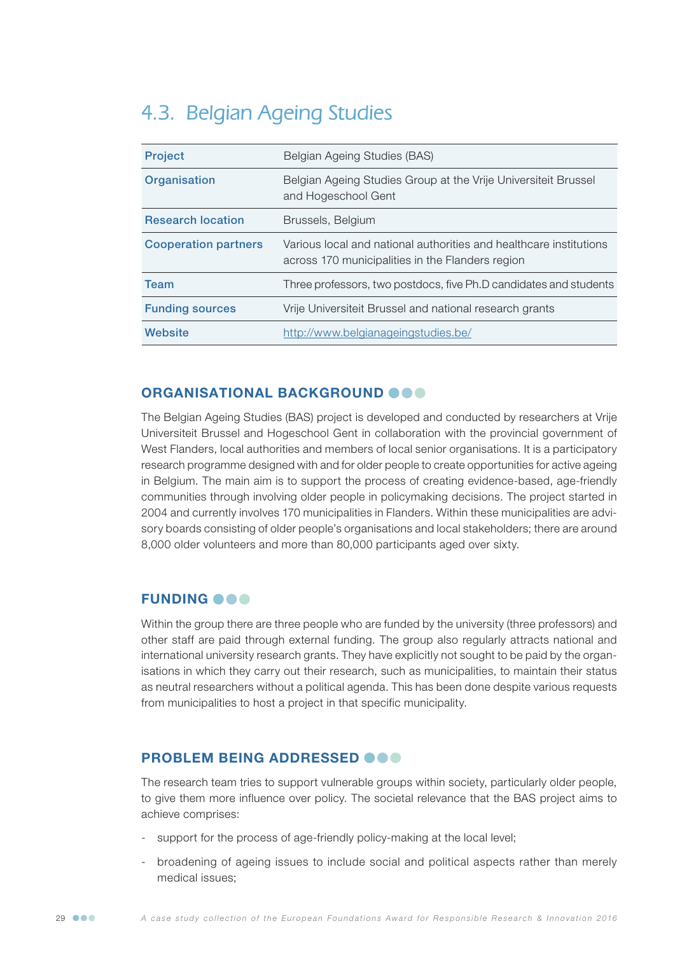# 4.3. Belgian Ageing Studies

| <b>Project</b>              | Belgian Ageing Studies (BAS)                                                                                           |
|-----------------------------|------------------------------------------------------------------------------------------------------------------------|
| Organisation                | Belgian Ageing Studies Group at the Vrije Universiteit Brussel<br>and Hogeschool Gent                                  |
| <b>Research location</b>    | Brussels, Belgium                                                                                                      |
| <b>Cooperation partners</b> | Various local and national authorities and healthcare institutions<br>across 170 municipalities in the Flanders region |
| <b>Team</b>                 | Three professors, two postdocs, five Ph.D candidates and students                                                      |
| <b>Funding sources</b>      | Vrije Universiteit Brussel and national research grants                                                                |
| Website                     | http://www.belgianageingstudies.be/                                                                                    |

## ORGANISATIONAL BACKGROUND OOO

The Belgian Ageing Studies (BAS) project is developed and conducted by researchers at Vrije Universiteit Brussel and Hogeschool Gent in collaboration with the provincial government of West Flanders, local authorities and members of local senior organisations. It is a participatory research programme designed with and for older people to create opportunities for active ageing in Belgium. The main aim is to support the process of creating evidence-based, age-friendly communities through involving older people in policymaking decisions. The project started in 2004 and currently involves 170 municipalities in Flanders. Within these municipalities are advisory boards consisting of older people's organisations and local stakeholders; there are around 8,000 older volunteers and more than 80,000 participants aged over sixty.

## **FUNDING OOO**

Within the group there are three people who are funded by the university (three professors) and other staff are paid through external funding. The group also regularly attracts national and international university research grants. They have explicitly not sought to be paid by the organisations in which they carry out their research, such as municipalities, to maintain their status as neutral researchers without a political agenda. This has been done despite various requests from municipalities to host a project in that specific municipality.

## PROBLEM BEING ADDRESSED **@@@**

The research team tries to support vulnerable groups within society, particularly older people, to give them more influence over policy. The societal relevance that the BAS project aims to achieve comprises:

- support for the process of age-friendly policy-making at the local level;
- broadening of ageing issues to include social and political aspects rather than merely medical issues;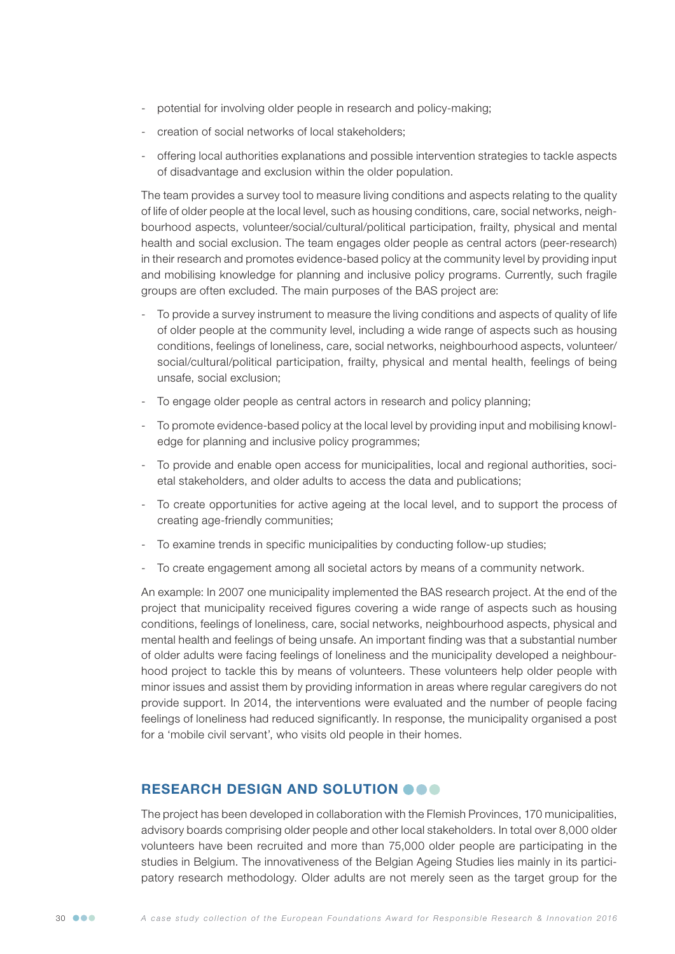- potential for involving older people in research and policy-making;
- creation of social networks of local stakeholders;
- offering local authorities explanations and possible intervention strategies to tackle aspects of disadvantage and exclusion within the older population.

The team provides a survey tool to measure living conditions and aspects relating to the quality of life of older people at the local level, such as housing conditions, care, social networks, neighbourhood aspects, volunteer/social/cultural/political participation, frailty, physical and mental health and social exclusion. The team engages older people as central actors (peer-research) in their research and promotes evidence-based policy at the community level by providing input and mobilising knowledge for planning and inclusive policy programs. Currently, such fragile groups are often excluded. The main purposes of the BAS project are:

- To provide a survey instrument to measure the living conditions and aspects of quality of life of older people at the community level, including a wide range of aspects such as housing conditions, feelings of loneliness, care, social networks, neighbourhood aspects, volunteer/ social/cultural/political participation, frailty, physical and mental health, feelings of being unsafe, social exclusion;
- To engage older people as central actors in research and policy planning;
- To promote evidence-based policy at the local level by providing input and mobilising knowledge for planning and inclusive policy programmes;
- To provide and enable open access for municipalities, local and regional authorities, societal stakeholders, and older adults to access the data and publications;
- To create opportunities for active ageing at the local level, and to support the process of creating age-friendly communities;
- To examine trends in specific municipalities by conducting follow-up studies;
- To create engagement among all societal actors by means of a community network.

An example: In 2007 one municipality implemented the BAS research project. At the end of the project that municipality received figures covering a wide range of aspects such as housing conditions, feelings of loneliness, care, social networks, neighbourhood aspects, physical and mental health and feelings of being unsafe. An important finding was that a substantial number of older adults were facing feelings of loneliness and the municipality developed a neighbourhood project to tackle this by means of volunteers. These volunteers help older people with minor issues and assist them by providing information in areas where regular caregivers do not provide support. In 2014, the interventions were evaluated and the number of people facing feelings of loneliness had reduced significantly. In response, the municipality organised a post for a 'mobile civil servant', who visits old people in their homes.

### RESEARCH DESIGN AND SOLUTION OOO

The project has been developed in collaboration with the Flemish Provinces, 170 municipalities, advisory boards comprising older people and other local stakeholders. In total over 8,000 older volunteers have been recruited and more than 75,000 older people are participating in the studies in Belgium. The innovativeness of the Belgian Ageing Studies lies mainly in its participatory research methodology. Older adults are not merely seen as the target group for the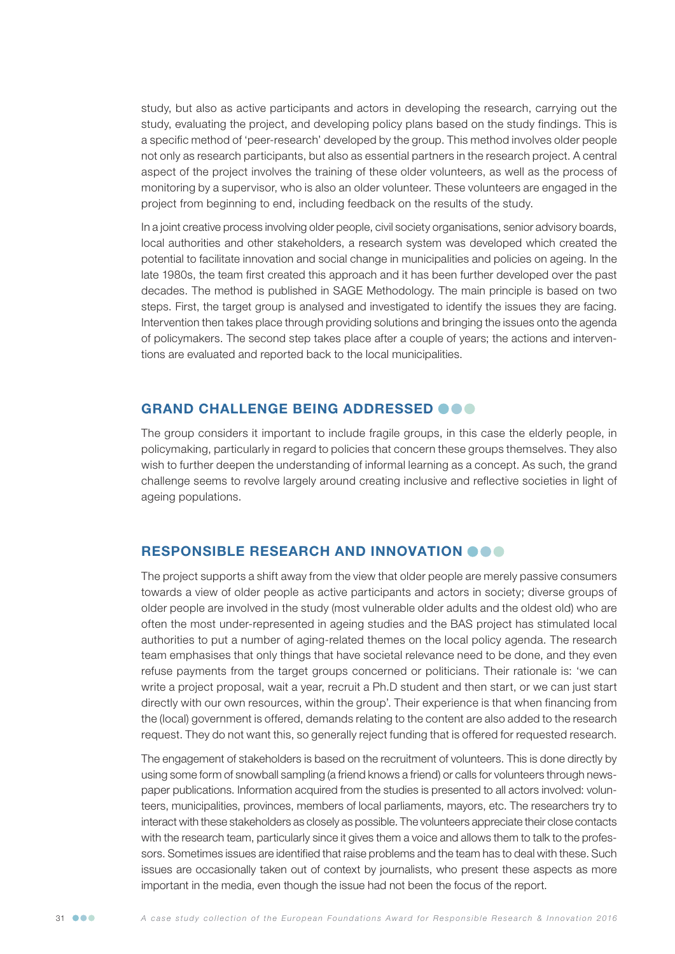study, but also as active participants and actors in developing the research, carrying out the study, evaluating the project, and developing policy plans based on the study findings. This is a specific method of 'peer-research' developed by the group. This method involves older people not only as research participants, but also as essential partners in the research project. A central aspect of the project involves the training of these older volunteers, as well as the process of monitoring by a supervisor, who is also an older volunteer. These volunteers are engaged in the project from beginning to end, including feedback on the results of the study.

In a joint creative process involving older people, civil society organisations, senior advisory boards, local authorities and other stakeholders, a research system was developed which created the potential to facilitate innovation and social change in municipalities and policies on ageing. In the late 1980s, the team first created this approach and it has been further developed over the past decades. The method is published in SAGE Methodology. The main principle is based on two steps. First, the target group is analysed and investigated to identify the issues they are facing. Intervention then takes place through providing solutions and bringing the issues onto the agenda of policymakers. The second step takes place after a couple of years; the actions and interventions are evaluated and reported back to the local municipalities.

### GRAND CHALLENGE BEING ADDRESSED OOO

The group considers it important to include fragile groups, in this case the elderly people, in policymaking, particularly in regard to policies that concern these groups themselves. They also wish to further deepen the understanding of informal learning as a concept. As such, the grand challenge seems to revolve largely around creating inclusive and reflective societies in light of ageing populations.

## RESPONSIBLE RESEARCH AND INNOVATION OOO

The project supports a shift away from the view that older people are merely passive consumers towards a view of older people as active participants and actors in society; diverse groups of older people are involved in the study (most vulnerable older adults and the oldest old) who are often the most under-represented in ageing studies and the BAS project has stimulated local authorities to put a number of aging-related themes on the local policy agenda. The research team emphasises that only things that have societal relevance need to be done, and they even refuse payments from the target groups concerned or politicians. Their rationale is: 'we can write a project proposal, wait a year, recruit a Ph.D student and then start, or we can just start directly with our own resources, within the group'. Their experience is that when financing from the (local) government is offered, demands relating to the content are also added to the research request. They do not want this, so generally reject funding that is offered for requested research.

The engagement of stakeholders is based on the recruitment of volunteers. This is done directly by using some form of snowball sampling (a friend knows a friend) or calls for volunteers through newspaper publications. Information acquired from the studies is presented to all actors involved: volunteers, municipalities, provinces, members of local parliaments, mayors, etc. The researchers try to interact with these stakeholders as closely as possible. The volunteers appreciate their close contacts with the research team, particularly since it gives them a voice and allows them to talk to the professors. Sometimes issues are identified that raise problems and the team has to deal with these. Such issues are occasionally taken out of context by journalists, who present these aspects as more important in the media, even though the issue had not been the focus of the report.